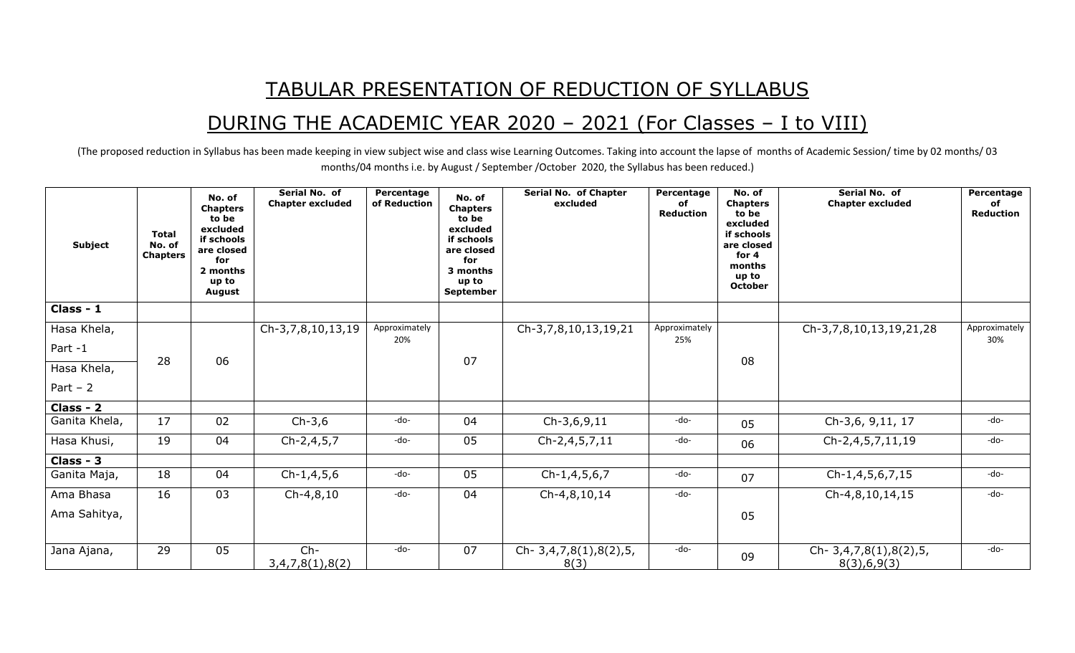## TABULAR PRESENTATION OF REDUCTION OF SYLLABUS

## DURING THE ACADEMIC YEAR 2020 – 2021 (For Classes – I to VIII)

(The proposed reduction in Syllabus has been made keeping in view subject wise and class wise Learning Outcomes. Taking into account the lapse of months of Academic Session/ time by 02 months/ 03 months/04 months i.e. by August / September /October 2020, the Syllabus has been reduced.)

| <b>Subject</b> | <b>Total</b><br>No. of<br><b>Chapters</b> | No. of<br><b>Chapters</b><br>to be<br>excluded<br>if schools<br>are closed<br>for<br>2 months<br>up to<br><b>August</b> | Serial No. of<br><b>Chapter excluded</b> | Percentage<br>of Reduction | No. of<br><b>Chapters</b><br>to be<br>excluded<br>if schools<br>are closed<br>for<br>3 months<br>up to<br><b>September</b> | <b>Serial No. of Chapter</b><br>excluded | Percentage<br>of<br>Reduction | No. of<br><b>Chapters</b><br>to be<br>excluded<br>if schools<br>are closed<br>for 4<br>months<br>up to<br><b>October</b> | Serial No. of<br><b>Chapter excluded</b>  | Percentage<br>of<br>Reduction |
|----------------|-------------------------------------------|-------------------------------------------------------------------------------------------------------------------------|------------------------------------------|----------------------------|----------------------------------------------------------------------------------------------------------------------------|------------------------------------------|-------------------------------|--------------------------------------------------------------------------------------------------------------------------|-------------------------------------------|-------------------------------|
| Class - 1      |                                           |                                                                                                                         |                                          |                            |                                                                                                                            |                                          |                               |                                                                                                                          |                                           |                               |
| Hasa Khela,    |                                           |                                                                                                                         | Ch-3,7,8,10,13,19                        | Approximately              |                                                                                                                            | Ch-3,7,8,10,13,19,21                     | Approximately                 |                                                                                                                          | Ch-3,7,8,10,13,19,21,28                   | Approximately                 |
| Part -1        |                                           |                                                                                                                         |                                          | 20%                        |                                                                                                                            |                                          | 25%                           |                                                                                                                          |                                           | 30%                           |
| Hasa Khela,    | 28                                        | 06                                                                                                                      |                                          |                            | 07                                                                                                                         |                                          |                               | 08                                                                                                                       |                                           |                               |
| Part $-2$      |                                           |                                                                                                                         |                                          |                            |                                                                                                                            |                                          |                               |                                                                                                                          |                                           |                               |
| Class - 2      |                                           |                                                                                                                         |                                          |                            |                                                                                                                            |                                          |                               |                                                                                                                          |                                           |                               |
| Ganita Khela,  | 17                                        | 02                                                                                                                      | $Ch-3,6$                                 | -do-                       | 04                                                                                                                         | $Ch-3,6,9,11$                            | -do-                          | 05                                                                                                                       | Ch-3,6, 9,11, 17                          | -do-                          |
| Hasa Khusi,    | 19                                        | 04                                                                                                                      | Ch-2,4,5,7                               | -do-                       | 05                                                                                                                         | Ch-2,4,5,7,11                            | -do-                          | 06                                                                                                                       | Ch-2,4,5,7,11,19                          | -do-                          |
| Class - 3      |                                           |                                                                                                                         |                                          |                            |                                                                                                                            |                                          |                               |                                                                                                                          |                                           |                               |
| Ganita Maja,   | 18                                        | 04                                                                                                                      | $Ch-1,4,5,6$                             | -do-                       | 05                                                                                                                         | Ch-1,4,5,6,7                             | -do-                          | 07                                                                                                                       | Ch-1,4,5,6,7,15                           | -do-                          |
| Ama Bhasa      | 16                                        | 03                                                                                                                      | $Ch-4, 8, 10$                            | -do-                       | 04                                                                                                                         | Ch-4,8,10,14                             | -do-                          |                                                                                                                          | Ch-4,8,10,14,15                           | -do-                          |
| Ama Sahitya,   |                                           |                                                                                                                         |                                          |                            |                                                                                                                            |                                          |                               | 05                                                                                                                       |                                           |                               |
| Jana Ajana,    | 29                                        | 05                                                                                                                      | $Ch-$<br>3,4,7,8(1),8(2)                 | -do-                       | 07                                                                                                                         | Ch- 3,4,7,8(1),8(2),5,<br>8(3)           | -do-                          | 09                                                                                                                       | Ch- $3,4,7,8(1),8(2),5,$<br>8(3), 6, 9(3) | -do-                          |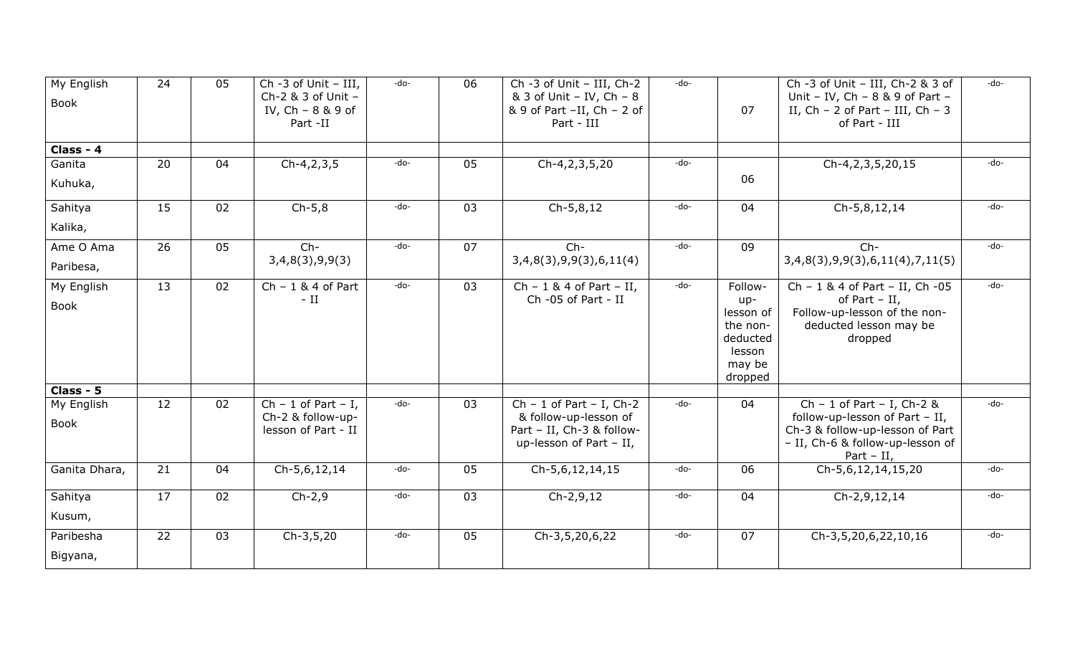| My English<br>Book              | 24              | 05              | Ch -3 of Unit - III,<br>Ch-2 & 3 of Unit -<br>IV, $Ch - 8 & 9$ of<br>Part -II | -do-   | 06 | Ch -3 of Unit - III, Ch-2<br>& 3 of Unit - IV, Ch - 8<br>& 9 of Part -II, Ch - 2 of<br>Part - III             | $-do-$ | 07                                                                                 | Ch -3 of Unit - III, Ch-2 & 3 of<br>Unit - IV, Ch - $8$ & 9 of Part -<br>II, $Ch - 2$ of Part - III, $Ch - 3$<br>of Part - III                      | -do- |
|---------------------------------|-----------------|-----------------|-------------------------------------------------------------------------------|--------|----|---------------------------------------------------------------------------------------------------------------|--------|------------------------------------------------------------------------------------|-----------------------------------------------------------------------------------------------------------------------------------------------------|------|
| Class - 4                       |                 |                 |                                                                               |        |    |                                                                                                               |        |                                                                                    |                                                                                                                                                     |      |
| Ganita<br>Kuhuka,               | 20              | 04              | $Ch-4, 2, 3, 5$                                                               | -do-   | 05 | Ch-4,2,3,5,20                                                                                                 | -do-   | 06                                                                                 | Ch-4,2,3,5,20,15                                                                                                                                    | -do- |
| Sahitya<br>Kalika,              | 15              | 02              | $Ch-5,8$                                                                      | -do-   | 03 | $Ch-5,8,12$                                                                                                   | -do-   | 04                                                                                 | Ch-5,8,12,14                                                                                                                                        | -do- |
| Ame O Ama<br>Paribesa,          | 26              | 05              | $Ch-$<br>3,4,8(3),9,9(3)                                                      | -do-   | 07 | $Ch-$<br>3,4,8(3),9,9(3),6,11(4)                                                                              | -do-   | 09                                                                                 | $Ch-$<br>3,4,8(3),9,9(3),6,11(4),7,11(5)                                                                                                            | -do- |
| My English<br>Book              | $\overline{13}$ | 02              | $Ch - 1 & 4$ of Part<br>$-$ II                                                | $-do-$ | 03 | $Ch - 1 & 4$ of Part - II,<br>Ch -05 of Part - II                                                             | -do-   | Follow-<br>up-<br>lesson of<br>the non-<br>deducted<br>lesson<br>may be<br>dropped | Ch - 1 & 4 of Part - II, Ch -05<br>of Part $-$ II,<br>Follow-up-lesson of the non-<br>deducted lesson may be<br>dropped                             | -do- |
| Class - 5<br>My English<br>Book | $\overline{12}$ | $\overline{02}$ | $Ch - 1$ of Part - I,<br>Ch-2 & follow-up-<br>lesson of Part - II             | -do-   | 03 | $Ch - 1$ of Part - I, $Ch-2$<br>& follow-up-lesson of<br>Part - II, Ch-3 & follow-<br>up-lesson of Part - II, | -do-   | 04                                                                                 | Ch - 1 of Part - I, Ch-2 &<br>follow-up-lesson of Part - II,<br>Ch-3 & follow-up-lesson of Part<br>- II, Ch-6 & follow-up-lesson of<br>Part $-$ II, | -do- |
| Ganita Dhara,                   | 21              | 04              | Ch-5,6,12,14                                                                  | -do-   | 05 | Ch-5,6,12,14,15                                                                                               | -do-   | 06                                                                                 | Ch-5,6,12,14,15,20                                                                                                                                  | -do- |
| Sahitya<br>Kusum,               | 17              | 02              | $Ch-2,9$                                                                      | -do-   | 03 | $Ch-2,9,12$                                                                                                   | -do-   | 04                                                                                 | Ch-2,9,12,14                                                                                                                                        | -do- |
| Paribesha<br>Bigyana,           | 22              | 03              | $Ch-3,5,20$                                                                   | -do-   | 05 | Ch-3,5,20,6,22                                                                                                | -do-   | 07                                                                                 | Ch-3,5,20,6,22,10,16                                                                                                                                | -do- |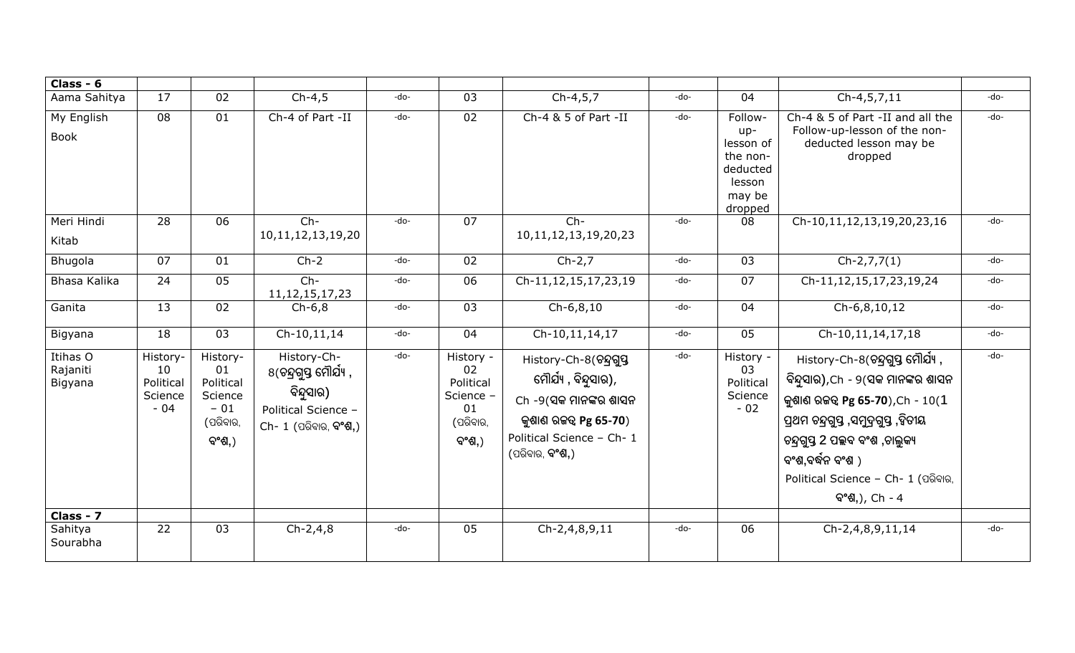| Class - $6$                     |                                                 |                                                                       |                                                                                                             |        |                                                                        |                                                                                                                                                           |      |                                                                                      |                                                                                                                                                                                                                                                                         |      |
|---------------------------------|-------------------------------------------------|-----------------------------------------------------------------------|-------------------------------------------------------------------------------------------------------------|--------|------------------------------------------------------------------------|-----------------------------------------------------------------------------------------------------------------------------------------------------------|------|--------------------------------------------------------------------------------------|-------------------------------------------------------------------------------------------------------------------------------------------------------------------------------------------------------------------------------------------------------------------------|------|
| Aama Sahitya                    | 17                                              | 02                                                                    | $Ch-4,5$                                                                                                    | -do-   | 03                                                                     | $Ch-4, 5, 7$                                                                                                                                              | -do- | 04                                                                                   | $Ch-4, 5, 7, 11$                                                                                                                                                                                                                                                        | -do- |
| My English<br><b>Book</b>       | 08                                              | 01                                                                    | Ch-4 of Part -II                                                                                            | -do-   | 02                                                                     | Ch-4 & 5 of Part -II                                                                                                                                      | -do- | Follow-<br>$up-$<br>lesson of<br>the non-<br>deducted<br>lesson<br>may be<br>dropped | Ch-4 & 5 of Part -II and all the<br>Follow-up-lesson of the non-<br>deducted lesson may be<br>dropped                                                                                                                                                                   | -do- |
| Meri Hindi                      | 28                                              | 06                                                                    | $Ch-$                                                                                                       | -do-   | 07                                                                     | $Ch-$                                                                                                                                                     | -do- | 08                                                                                   | Ch-10,11,12,13,19,20,23,16                                                                                                                                                                                                                                              | -do- |
| Kitab                           |                                                 |                                                                       | 10, 11, 12, 13, 19, 20                                                                                      |        |                                                                        | 10, 11, 12, 13, 19, 20, 23                                                                                                                                |      |                                                                                      |                                                                                                                                                                                                                                                                         |      |
| Bhugola                         | 07                                              | 01                                                                    | $Ch-2$                                                                                                      | -do-   | 02                                                                     | $Ch-2,7$                                                                                                                                                  | -do- | 03                                                                                   | $Ch-2,7,7(1)$                                                                                                                                                                                                                                                           | -do- |
| Bhasa Kalika                    | 24                                              | 05                                                                    | $Ch-$<br>11, 12, 15, 17, 23                                                                                 | -do-   | 06                                                                     | Ch-11,12,15,17,23,19                                                                                                                                      | -do- | 07                                                                                   | Ch-11,12,15,17,23,19,24                                                                                                                                                                                                                                                 | -do- |
| Ganita                          | $\overline{13}$                                 | 02                                                                    | $Ch-6,8$                                                                                                    | $-do-$ | 03                                                                     | $Ch-6, 8, 10$                                                                                                                                             | -do- | 04                                                                                   | Ch-6,8,10,12                                                                                                                                                                                                                                                            | -do- |
| Bigyana                         | $\overline{18}$                                 | $\overline{03}$                                                       | $Ch-10, 11, 14$                                                                                             | $-do-$ | 04                                                                     | $Ch-10, 11, 14, 17$                                                                                                                                       | -do- | 05                                                                                   | $Ch-10, 11, 14, 17, 18$                                                                                                                                                                                                                                                 | -do- |
| Itihas O<br>Rajaniti<br>Bigyana | History-<br>10<br>Political<br>Science<br>$-04$ | History-<br>01<br>Political<br>Science<br>$-01$<br>(ପରିବାର,<br>ବଂଶ୍,) | History-Ch-<br>8(ଚନ୍ଦ୍ରଗୁସ୍ତ ମୌର୍ଯ୍ୟ ,<br>ବିନ୍ଦୁସାର)<br>Political Science -<br>Ch- 1 (ପରିବାର, <b>ବଂଶ,</b> ) | -do-   | History -<br>02<br>Political<br>Science -<br>01<br>(ପରିବାର,<br>ବଂଶ୍ୱ,) | History-Ch-8(ଚନ୍ଦ୍ରଗୁପ୍ତ<br>ମୌର୍ଯ୍ୟ , ବିନ୍ଦୁସାର),<br>Ch -9(ସକ ମାନଙ୍କର ଶାସନ<br>କୁଶାଣ ରଜତ୍ୱ Pg 65-70)<br>Political Science - Ch-1<br>(ପରିବାର, <b>ବଂଶ,</b> ) | -do- | History -<br>03<br>Political<br>Science<br>$-02$                                     | History-Ch-8(ଚନ୍ଦ୍ରଗୁସ୍ତ ମୌର୍ଯ୍ୟ ,<br>ବିନ୍ଦୁସାର),Ch - ୨(ସକ ମାନଙ୍କର ଶାସନ<br>କୁଶାଣ ରଜତ୍ୱ Pg 65-70), Ch - $10(1)$<br>ପ୍ରଥମ ଚନ୍ଦ୍ରଗୁସ୍ତ ,ସମୁଦ୍ରଗୁସ୍ତ ,ହିତୀୟ<br>ଚନ୍ଦ୍ରଗୃସ୍ତ 2 ପଲ୍ଲବ ବଂଶ ,ଚାଲୁକ୍ୟ<br>ବଂଶ,ବର୍ଦ୍ଧନ ବଂଶ )<br>Political Science - Ch- 1 (ପରିବାର,<br>ବଂଶ,), Ch - 4 | -do- |
| Class - 7<br>Sahitya            | $\overline{22}$                                 | 03                                                                    | $Ch-2,4,8$                                                                                                  | -do-   | 05                                                                     | Ch-2,4,8,9,11                                                                                                                                             | -do- | 06                                                                                   | Ch-2,4,8,9,11,14                                                                                                                                                                                                                                                        | -do- |
| Sourabha                        |                                                 |                                                                       |                                                                                                             |        |                                                                        |                                                                                                                                                           |      |                                                                                      |                                                                                                                                                                                                                                                                         |      |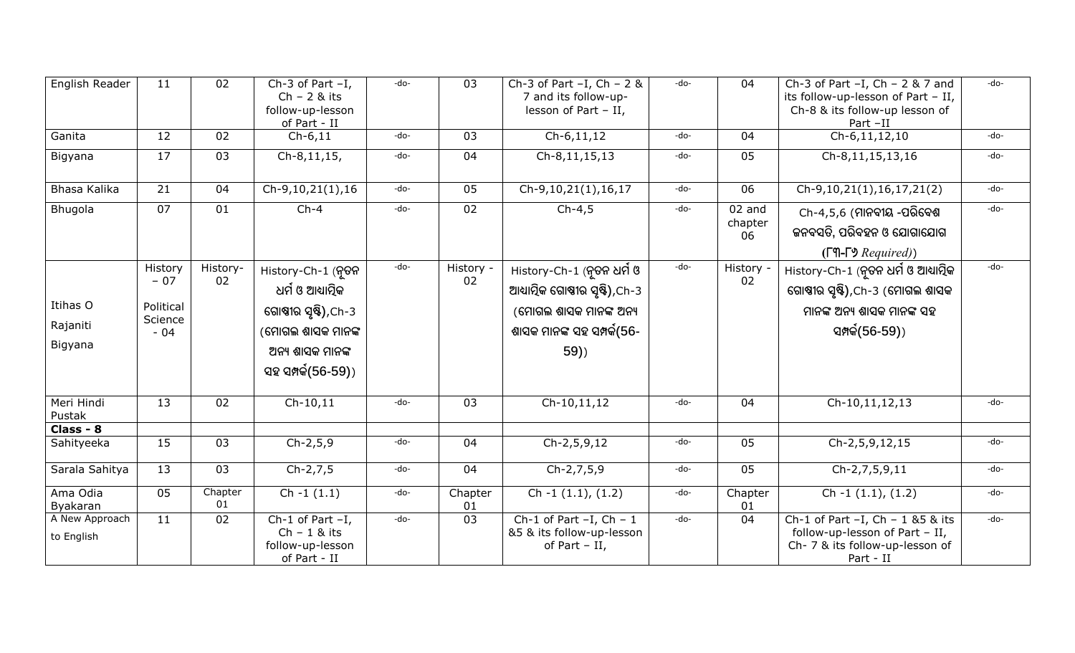| English Reader                  | 11                                                | 02             | Ch-3 of Part $-I$ ,<br>$Ch - 2 &$ its<br>follow-up-lesson<br>of Part - II                                                    | -do- | 03              | Ch-3 of Part $-I$ , Ch - 2 &<br>7 and its follow-up-<br>lesson of Part $-$ II,                                              | -do- | 04                        | Ch-3 of Part $-I$ , Ch - 2 & 7 and<br>its follow-up-lesson of Part - II,<br>Ch-8 & its follow-up lesson of<br>Part -II   | -do- |
|---------------------------------|---------------------------------------------------|----------------|------------------------------------------------------------------------------------------------------------------------------|------|-----------------|-----------------------------------------------------------------------------------------------------------------------------|------|---------------------------|--------------------------------------------------------------------------------------------------------------------------|------|
| Ganita                          | 12                                                | 02             | $Ch-6, 11$                                                                                                                   | -do- | 03              | $Ch-6, 11, 12$                                                                                                              | -do- | 04                        | $Ch-6, 11, 12, 10$                                                                                                       | -do- |
| Bigyana                         | 17                                                | 03             | Ch-8,11,15,                                                                                                                  | -do- | 04              | Ch-8,11,15,13                                                                                                               | -do- | 05                        | Ch-8,11,15,13,16                                                                                                         | -do- |
| Bhasa Kalika                    | 21                                                | 04             | $Ch-9, 10, 21(1), 16$                                                                                                        | -do- | 05              | Ch-9,10,21(1),16,17                                                                                                         | -do- | 06                        | Ch-9,10,21(1),16,17,21(2)                                                                                                | -do- |
| Bhugola                         | 07                                                | 01             | $Ch-4$                                                                                                                       | -do- | 02              | $Ch-4,5$                                                                                                                    | -do- | $02$ and<br>chapter<br>06 | Ch-4,5,6 (ମାନବୀୟ -ପରିବେଶ<br>କନବସତି, ପରିବହନ ଓ ଯୋଗାଯୋଗ<br>$(T\P - \Gamma)$ Required)                                       | -do- |
| Itihas O<br>Rajaniti<br>Bigyana | History<br>$-07$<br>Political<br>Science<br>$-04$ | History-<br>02 | History-Ch-1 (ନୂତନ<br>ଧର୍ମ ଓ ଆଧ୍ୟାତ୍ମିକ<br>ଗୋଷୀର ସୃଷ୍ଟି),Ch-3<br>(ମୋଗଲ ଶାସକ ମାନଙ୍କ<br>ଅନ୍ୟ ଶାସକ ମାନଙ୍କ<br>ସହ ସମ୍ପର୍କ(56-59)) | -do- | History -<br>02 | History-Ch-1 (ନୃତନ ଧର୍ମ ଓ<br>ଆଧ୍ୟାତ୍ମିକ ଗୋଷ୍ଠୀର ସୃଷ୍ଟି),Ch-3<br>(ମୋଗଲ ଶାସକ ମାନଙ୍କ ଅନ୍ୟ<br>ଶାସକ ମାନଙ୍କ ସହ ସମ୍ପର୍କ(56-<br>59) | -do- | History -<br>02           | History-Ch-1 (ନୃତନ ଧର୍ମ ଓ ଆଧ୍ୟାତ୍ମିକ<br>ଗୋଷ୍ଠୀର ସୃଷ୍ଟି),Ch-3 (ମୋଗଲ ଶାସକ<br>ମାନଙ୍କ ଅନ୍ୟ ଶାସକ ମାନଙ୍କ ସହ<br>ସମ୍ପର୍କ(56-59)) | -do- |
| Meri Hindi<br>Pustak            | 13                                                | 02             | $Ch-10,11$                                                                                                                   | -do- | 03              | Ch-10,11,12                                                                                                                 | -do- | 04                        | Ch-10,11,12,13                                                                                                           | -do- |
| Class - 8                       |                                                   |                |                                                                                                                              |      |                 |                                                                                                                             |      |                           |                                                                                                                          |      |
| Sahityeeka                      | 15                                                | 03             | $Ch-2, 5, 9$                                                                                                                 | -do- | 04              | $Ch-2, 5, 9, 12$                                                                                                            | -do- | 05                        | Ch-2,5,9,12,15                                                                                                           | -do- |
| Sarala Sahitya                  | 13                                                | 03             | $Ch-2,7,5$                                                                                                                   | -do- | 04              | Ch-2,7,5,9                                                                                                                  | -do- | 05                        | Ch-2,7,5,9,11                                                                                                            | -do- |
| Ama Odia<br>Byakaran            | 05                                                | Chapter<br>01  | $Ch - 1(1.1)$                                                                                                                | -do- | Chapter<br>01   | Ch $-1$ $(1.1)$ , $(1.2)$                                                                                                   | -do- | Chapter<br>01             | Ch $-1$ $(1.1)$ , $(1.2)$                                                                                                | -do- |
| A New Approach<br>to English    | 11                                                | 02             | Ch-1 of Part $-I$ ,<br>$Ch - 1 &$ its<br>follow-up-lesson<br>of Part - II                                                    | -do- | 03              | Ch-1 of Part $-I$ , Ch - 1<br>&5 & its follow-up-lesson<br>of Part $-$ II,                                                  | -do- | 04                        | Ch-1 of Part $-I$ , Ch - 1 & 5 & its<br>follow-up-lesson of Part - II,<br>Ch- 7 & its follow-up-lesson of<br>Part - II   | -do- |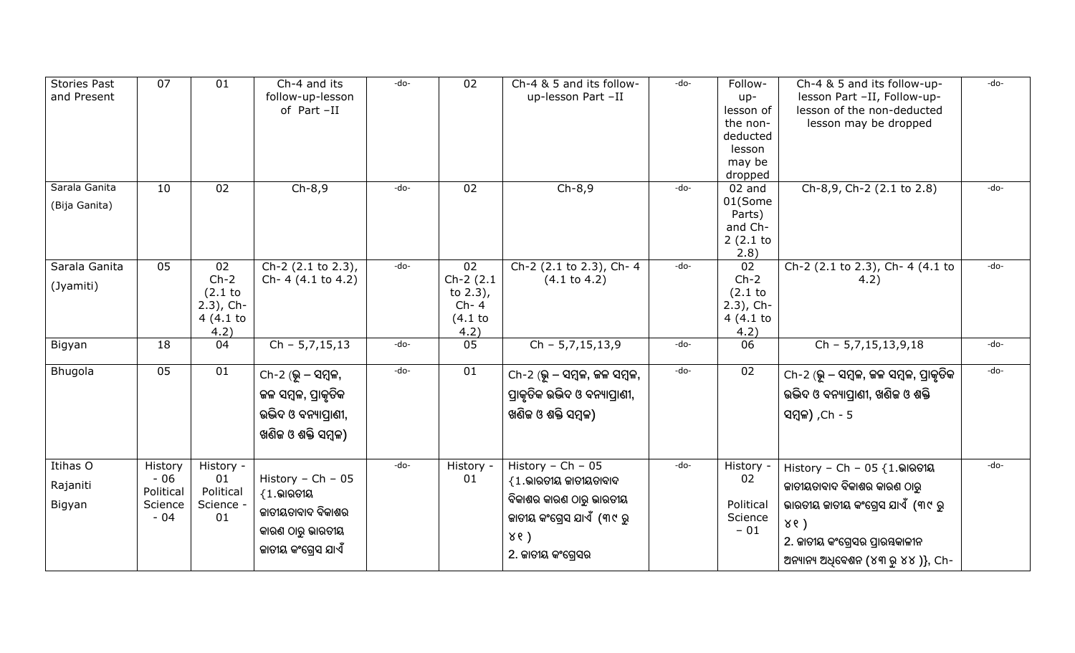| <b>Stories Past</b><br>and Present | 07                                                | 01                                                          | Ch-4 and its<br>follow-up-lesson<br>of Part-II                                                                 | -do-   | 02                                                          | Ch-4 & 5 and its follow-<br>up-lesson Part -II                                                                                                 | -do- | Follow-<br>up-<br>lesson of<br>the non-<br>deducted<br>lesson<br>may be<br>dropped | Ch-4 & 5 and its follow-up-<br>lesson Part -II, Follow-up-<br>lesson of the non-deducted<br>lesson may be dropped                                                                    | -do-   |
|------------------------------------|---------------------------------------------------|-------------------------------------------------------------|----------------------------------------------------------------------------------------------------------------|--------|-------------------------------------------------------------|------------------------------------------------------------------------------------------------------------------------------------------------|------|------------------------------------------------------------------------------------|--------------------------------------------------------------------------------------------------------------------------------------------------------------------------------------|--------|
| Sarala Ganita<br>(Bija Ganita)     | 10                                                | 02                                                          | $Ch-8,9$                                                                                                       | -do-   | 02                                                          | $Ch-8,9$                                                                                                                                       | -do- | 02 and<br>01(Some<br>Parts)<br>and Ch-<br>2(2.1)<br>2.8)                           | Ch-8,9, Ch-2 (2.1 to 2.8)                                                                                                                                                            | $-do-$ |
| Sarala Ganita<br>(Jyamiti)         | 05                                                | 02<br>$Ch-2$<br>$(2.1$ to<br>$2.3$ ), Ch-<br>4(4.1)<br>4.2) | $\overline{Ch-2}$ (2.1 to 2.3),<br>Ch- 4 (4.1 to 4.2)                                                          | $-do-$ | 02<br>$Ch-2(2.1)$<br>to $2.3$ ),<br>$Ch-4$<br>(4.1)<br>4.2) | Ch-2 (2.1 to 2.3), Ch-4<br>$(4.1 \text{ to } 4.2)$                                                                                             | -do- | 02<br>$Ch-2$<br>(2.1)<br>$2.3$ ), Ch-<br>4(4.1)<br>4.2)                            | Ch-2 (2.1 to 2.3), Ch- 4 (4.1 to<br>4.2)                                                                                                                                             | $-do-$ |
| Bigyan                             | 18                                                | 04                                                          | $Ch - 5, 7, 15, 13$                                                                                            | -do-   | 05                                                          | $Ch - 5, 7, 15, 13, 9$                                                                                                                         | -do- | 06                                                                                 | $Ch - 5,7,15,13,9,18$                                                                                                                                                                | -do-   |
| Bhugola                            | 05                                                | 01                                                          | $Ch-2$ (ଭୂ $-$ ସମ୍ବଳ,<br>ଜଳ ସମ୍ବଳ, ପ୍ରାକୃତିକ<br>ଉଦ୍ଭିଦ ଓ ବନ୍ୟାପ୍ରାଣୀ,<br>ଖଣିଜ ଓ ଶକ୍ତି ସମ୍ବଳ)                   | $-do-$ | $\overline{01}$                                             | Ch-2 (ଭୂ – ସମ୍ବଳ, ଜଳ ସମ୍ବଳ,<br>ପ୍ରାକୃତିକ ଉଦ୍ଭିଦ ଓ ବନ୍ୟାପ୍ରାଣୀ,<br>ଖଣିକ ଓ ଶକ୍ତି ସମ୍ବଳ)                                                          | -do- | 02                                                                                 | Ch-2 (ଭୂ – ସମ୍ବଳ, ଜଳ ସମ୍ବଳ, ପ୍ରାକୃତିକ<br>ଉଦ୍ଭିଦ ଓ ବନ୍ୟାତ୍ପାଣୀ, ଖଣିଜ ଓ ଶକ୍ତି<br>ସମ୍ବଳ) , Ch - 5                                                                                       | -do-   |
| Itihas O<br>Rajaniti<br>Bigyan     | History<br>$-06$<br>Political<br>Science<br>$-04$ | History -<br>01<br>Political<br>Science -<br>01             | History - $Ch - 05$<br>$\{1.\allowbreak$ ଭାରତୀୟ<br>କାତୀୟତାବାଦ ବିକାଶର<br>କାରଣ ଠାରୁ ଭାରତୀୟ<br>କାତୀୟ କଂଗ୍ରେସ ଯାଏଁ | -do-   | History -<br>01                                             | History - Ch - $05$<br>$\{1.\allowbreak$ ଭାରତୀୟ ଜାତୀୟତାବାଦ<br>ବିକାଶର କାରଣ ଠାରୁ ଭାରତୀୟ<br>କାତୀୟ କଂଗ୍ରେସ ଯାଏଁ (୩୯ ରୁ<br>86)<br>2. ଜାତୀୟ କଂଗ୍ରେସର | -do- | History<br>02<br>Political<br>Science<br>$-01$                                     | History - Ch - 05 $\{1.\text{କାରତୀୟ$<br>କାତୀୟତାବାଦ ବିକାଶର କାରଣ ଠାରୁ<br>ଭାରତୀୟ ଜାତୀୟ କଂଗ୍ରେସ ଯାଏଁ (୩୯ ରୁ<br>86)<br>2. ଜାତୀୟ କଂଗ୍ରେସର ପ୍ରାରୟକାଳୀନ<br>ଅନ୍ୟାନ୍ୟ ଅଧିବେଶନ (୪୩ ରୁ ୪୪)}, Ch- | -do-   |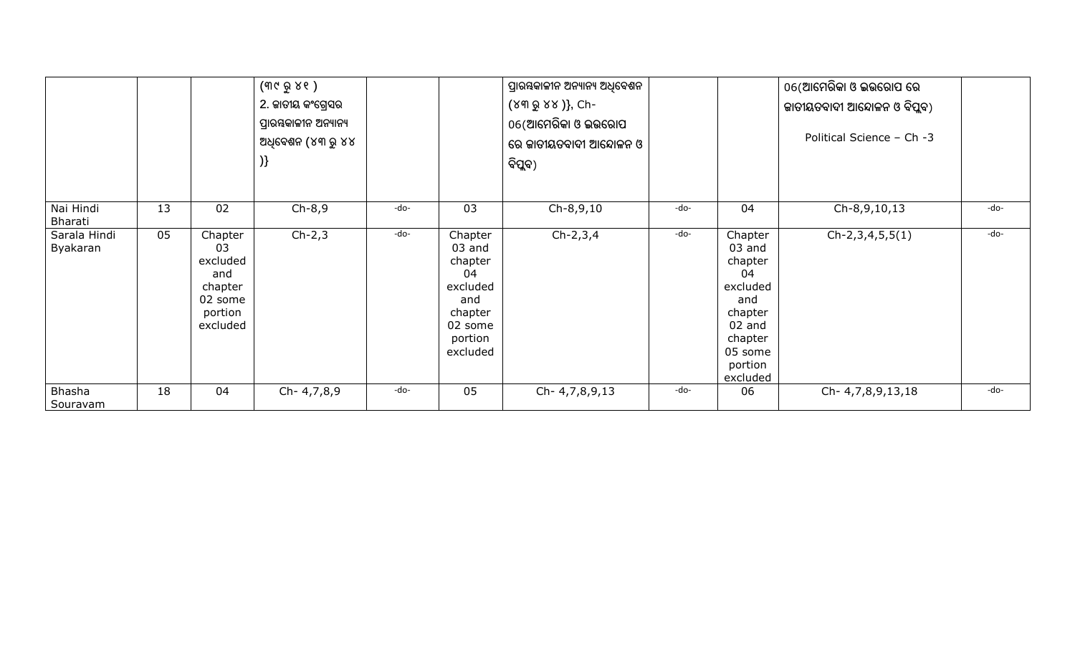|                          |    |                                                                               | (୩୯ ରୁ ୪୧ )<br>2. ଜାତୀୟ କଂଗ୍ରେସର<br>ପ୍ରାରୟକାଳୀନ ଅନ୍ୟାନ୍ୟ<br>ଅଧିବେଶନ (୪୩ ରୁ ୪୪<br>) |      |                                                                                                      | ପ୍ରାରୟକାଳୀନ ଅନ୍ୟାନ୍ୟ ଅଧିବେଶନ<br>(୪୩ ରୁ ୪୪ )}, Ch-<br>06(ଆମେରିକା ଓ ଇଉରୋପ<br>ରେ ଜାତୀୟତବାଦୀ ଆନ୍ଦୋଳନ ଓ<br>ବିପୁବ) |      |                                                                                                                         | 06(ଆମେରିକା ଓ ଇଭରୋପ ରେ<br>କାତୀୟତବାଦୀ ଆନ୍ଦୋଳନ ଓ ବିପୁବ)<br>Political Science - Ch -3 |      |
|--------------------------|----|-------------------------------------------------------------------------------|------------------------------------------------------------------------------------|------|------------------------------------------------------------------------------------------------------|--------------------------------------------------------------------------------------------------------------|------|-------------------------------------------------------------------------------------------------------------------------|-----------------------------------------------------------------------------------|------|
| Nai Hindi<br>Bharati     | 13 | 02                                                                            | $Ch-8,9$                                                                           | -do- | 03                                                                                                   | Ch-8,9,10                                                                                                    | -do- | 04                                                                                                                      | Ch-8,9,10,13                                                                      | -do- |
| Sarala Hindi<br>Byakaran | 05 | Chapter<br>03<br>excluded<br>and<br>chapter<br>02 some<br>portion<br>excluded | $Ch-2,3$                                                                           | -do- | Chapter<br>$03$ and<br>chapter<br>04<br>excluded<br>and<br>chapter<br>02 some<br>portion<br>excluded | $Ch-2,3,4$                                                                                                   | -do- | Chapter<br>03 and<br>chapter<br>04<br>excluded<br>and<br>chapter<br>02 and<br>chapter<br>05 some<br>portion<br>excluded | $Ch-2,3,4,5,5(1)$                                                                 | -do- |
| Bhasha<br>Souravam       | 18 | 04                                                                            | Ch- 4,7,8,9                                                                        | -do- | 05                                                                                                   | Ch- 4,7,8,9,13                                                                                               | -do- | 06                                                                                                                      | Ch- 4,7,8,9,13,18                                                                 | -do- |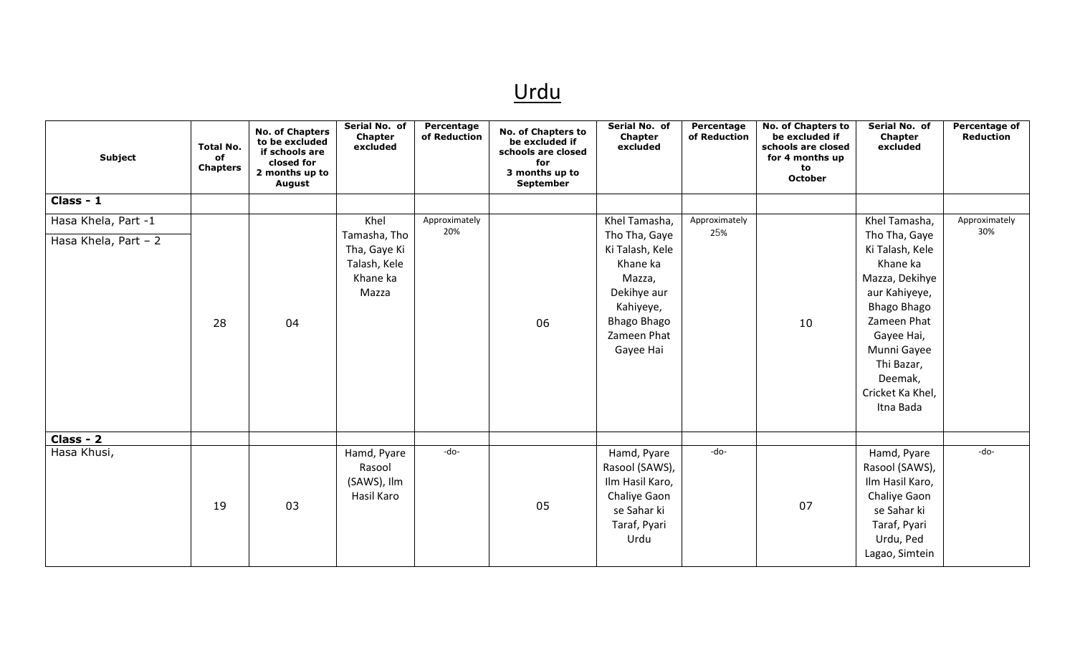## Urdu

| <b>Subject</b>                              | <b>Total No.</b><br>of<br><b>Chapters</b> | <b>No. of Chapters</b><br>to be excluded<br>if schools are<br>closed for<br>2 months up to<br><b>August</b> | Serial No. of<br>Chapter<br>excluded                                      | Percentage<br>of Reduction | <b>No. of Chapters to</b><br>be excluded if<br>schools are closed<br>for<br>3 months up to<br><b>September</b> | Serial No. of<br>Chapter<br>excluded                                                                                                                  | Percentage<br>of Reduction | <b>No. of Chapters to</b><br>be excluded if<br>schools are closed<br>for 4 months up<br>to<br><b>October</b> | Serial No. of<br>Chapter<br>excluded                                                                                                                                                                                  | <b>Percentage of</b><br><b>Reduction</b> |
|---------------------------------------------|-------------------------------------------|-------------------------------------------------------------------------------------------------------------|---------------------------------------------------------------------------|----------------------------|----------------------------------------------------------------------------------------------------------------|-------------------------------------------------------------------------------------------------------------------------------------------------------|----------------------------|--------------------------------------------------------------------------------------------------------------|-----------------------------------------------------------------------------------------------------------------------------------------------------------------------------------------------------------------------|------------------------------------------|
| Class - 1                                   |                                           |                                                                                                             |                                                                           |                            |                                                                                                                |                                                                                                                                                       |                            |                                                                                                              |                                                                                                                                                                                                                       |                                          |
| Hasa Khela, Part -1<br>Hasa Khela, Part - 2 | 28                                        | 04                                                                                                          | Khel<br>Tamasha, Tho<br>Tha, Gaye Ki<br>Talash, Kele<br>Khane ka<br>Mazza | Approximately<br>20%       | 06                                                                                                             | Khel Tamasha,<br>Tho Tha, Gaye<br>Ki Talash, Kele<br>Khane ka<br>Mazza,<br>Dekihye aur<br>Kahiyeye,<br><b>Bhago Bhago</b><br>Zameen Phat<br>Gayee Hai | Approximately<br>25%       | 10                                                                                                           | Khel Tamasha,<br>Tho Tha, Gaye<br>Ki Talash, Kele<br>Khane ka<br>Mazza, Dekihye<br>aur Kahiyeye,<br>Bhago Bhago<br>Zameen Phat<br>Gayee Hai,<br>Munni Gayee<br>Thi Bazar,<br>Deemak,<br>Cricket Ka Khel,<br>Itna Bada | Approximately<br>30%                     |
| Class - 2                                   |                                           |                                                                                                             |                                                                           |                            |                                                                                                                |                                                                                                                                                       |                            |                                                                                                              |                                                                                                                                                                                                                       |                                          |
| Hasa Khusi,                                 | 19                                        | 03                                                                                                          | Hamd, Pyare<br>Rasool<br>(SAWS), Ilm<br>Hasil Karo                        | -do-                       | 05                                                                                                             | Hamd, Pyare<br>Rasool (SAWS),<br>Ilm Hasil Karo,<br>Chaliye Gaon<br>se Sahar ki<br>Taraf, Pyari<br>Urdu                                               | -do-                       | 07                                                                                                           | Hamd, Pyare<br>Rasool (SAWS),<br>Ilm Hasil Karo,<br>Chaliye Gaon<br>se Sahar ki<br>Taraf, Pyari<br>Urdu, Ped<br>Lagao, Simtein                                                                                        | -do-                                     |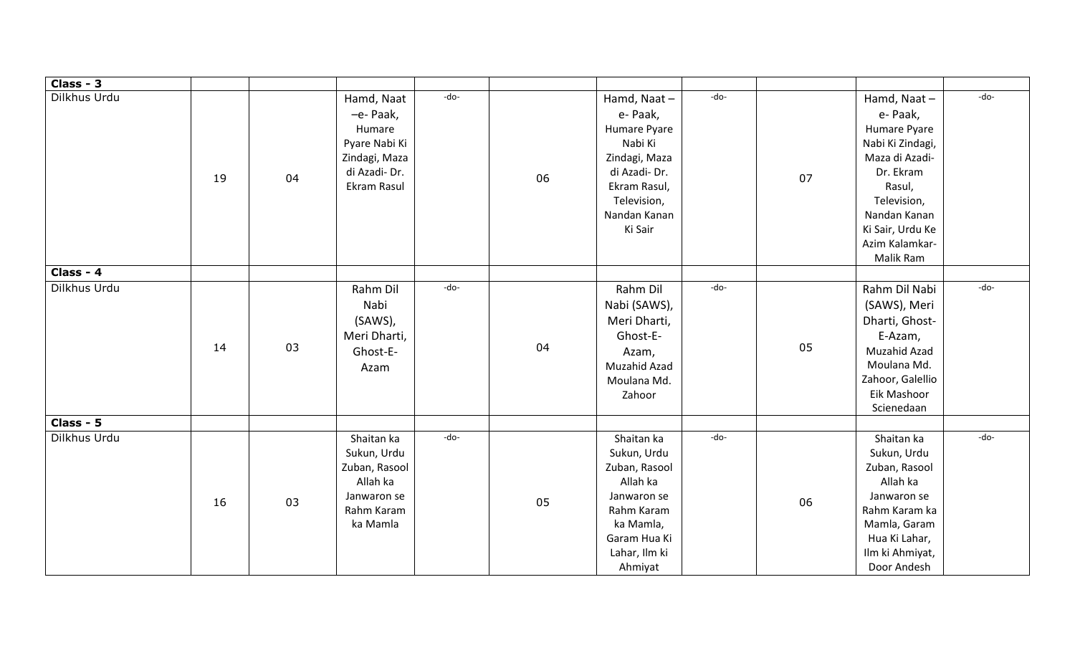| Class - 3    |    |    |                                                                                                                   |    |                                                                                                                                               |      |    |                                                                                                                                                                                        |      |
|--------------|----|----|-------------------------------------------------------------------------------------------------------------------|----|-----------------------------------------------------------------------------------------------------------------------------------------------|------|----|----------------------------------------------------------------------------------------------------------------------------------------------------------------------------------------|------|
| Dilkhus Urdu | 19 | 04 | -do-<br>Hamd, Naat<br>-e- Paak,<br>Humare<br>Pyare Nabi Ki<br>Zindagi, Maza<br>di Azadi-Dr.<br><b>Ekram Rasul</b> | 06 | Hamd, Naat-<br>e- Paak,<br>Humare Pyare<br>Nabi Ki<br>Zindagi, Maza<br>di Azadi-Dr.<br>Ekram Rasul,<br>Television,<br>Nandan Kanan<br>Ki Sair | -do- | 07 | Hamd, Naat-<br>e- Paak,<br>Humare Pyare<br>Nabi Ki Zindagi,<br>Maza di Azadi-<br>Dr. Ekram<br>Rasul,<br>Television,<br>Nandan Kanan<br>Ki Sair, Urdu Ke<br>Azim Kalamkar-<br>Malik Ram | -do- |
| Class - 4    |    |    |                                                                                                                   |    |                                                                                                                                               |      |    |                                                                                                                                                                                        |      |
| Dilkhus Urdu | 14 | 03 | -do-<br>Rahm Dil<br>Nabi<br>(SAWS),<br>Meri Dharti,<br>Ghost-E-<br>Azam                                           | 04 | Rahm Dil<br>Nabi (SAWS),<br>Meri Dharti,<br>Ghost-E-<br>Azam,<br>Muzahid Azad<br>Moulana Md.<br>Zahoor                                        | -do- | 05 | Rahm Dil Nabi<br>(SAWS), Meri<br>Dharti, Ghost-<br>E-Azam,<br>Muzahid Azad<br>Moulana Md.<br>Zahoor, Galellio<br>Eik Mashoor<br>Scienedaan                                             | -do- |
| Class - 5    |    |    |                                                                                                                   |    |                                                                                                                                               |      |    |                                                                                                                                                                                        |      |
| Dilkhus Urdu | 16 | 03 | -do-<br>Shaitan ka<br>Sukun, Urdu<br>Zuban, Rasool<br>Allah ka<br>Janwaron se<br>Rahm Karam<br>ka Mamla           | 05 | Shaitan ka<br>Sukun, Urdu<br>Zuban, Rasool<br>Allah ka<br>Janwaron se<br>Rahm Karam<br>ka Mamla,<br>Garam Hua Ki<br>Lahar, Ilm ki<br>Ahmiyat  | -do- | 06 | Shaitan ka<br>Sukun, Urdu<br>Zuban, Rasool<br>Allah ka<br>Janwaron se<br>Rahm Karam ka<br>Mamla, Garam<br>Hua Ki Lahar,<br>Ilm ki Ahmiyat,<br>Door Andesh                              | -do- |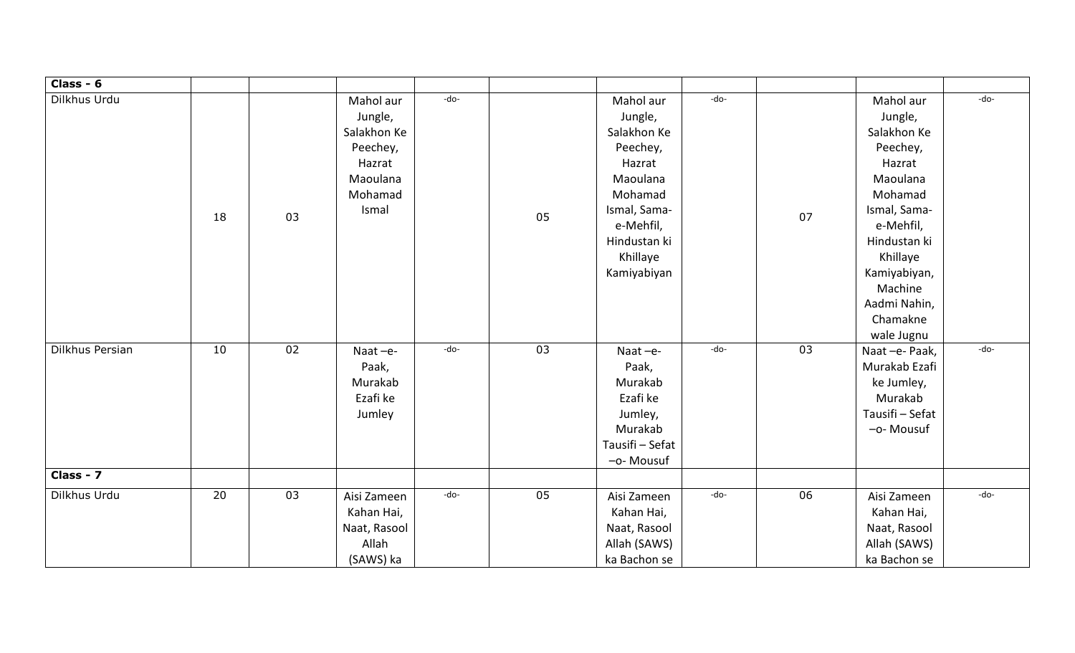| Class - 6       |    |    |                                                                                           |        |    |                                                                                                                                                          |        |    |                                                                                                                                                                                                                |      |
|-----------------|----|----|-------------------------------------------------------------------------------------------|--------|----|----------------------------------------------------------------------------------------------------------------------------------------------------------|--------|----|----------------------------------------------------------------------------------------------------------------------------------------------------------------------------------------------------------------|------|
| Dilkhus Urdu    | 18 | 03 | Mahol aur<br>Jungle,<br>Salakhon Ke<br>Peechey,<br>Hazrat<br>Maoulana<br>Mohamad<br>Ismal | -do-   | 05 | Mahol aur<br>Jungle,<br>Salakhon Ke<br>Peechey,<br>Hazrat<br>Maoulana<br>Mohamad<br>Ismal, Sama-<br>e-Mehfil,<br>Hindustan ki<br>Khillaye<br>Kamiyabiyan | -do-   | 07 | Mahol aur<br>Jungle,<br>Salakhon Ke<br>Peechey,<br>Hazrat<br>Maoulana<br>Mohamad<br>Ismal, Sama-<br>e-Mehfil,<br>Hindustan ki<br>Khillaye<br>Kamiyabiyan,<br>Machine<br>Aadmi Nahin,<br>Chamakne<br>wale Jugnu | -do- |
| Dilkhus Persian | 10 | 02 | Naat-e-<br>Paak,<br>Murakab<br>Ezafi ke<br>Jumley                                         | $-do-$ | 03 | Naat-e-<br>Paak,<br>Murakab<br>Ezafi ke<br>Jumley,<br>Murakab<br>Tausifi - Sefat<br>-o- Mousuf                                                           | $-do-$ | 03 | Naat-e-Paak,<br>Murakab Ezafi<br>ke Jumley,<br>Murakab<br>Tausifi - Sefat<br>-o- Mousuf                                                                                                                        | -do- |
| Class - 7       |    |    |                                                                                           |        |    |                                                                                                                                                          |        |    |                                                                                                                                                                                                                |      |
| Dilkhus Urdu    | 20 | 03 | Aisi Zameen<br>Kahan Hai,<br>Naat, Rasool<br>Allah<br>(SAWS) ka                           | -do-   | 05 | Aisi Zameen<br>Kahan Hai,<br>Naat, Rasool<br>Allah (SAWS)<br>ka Bachon se                                                                                | -do-   | 06 | Aisi Zameen<br>Kahan Hai,<br>Naat, Rasool<br>Allah (SAWS)<br>ka Bachon se                                                                                                                                      | -do- |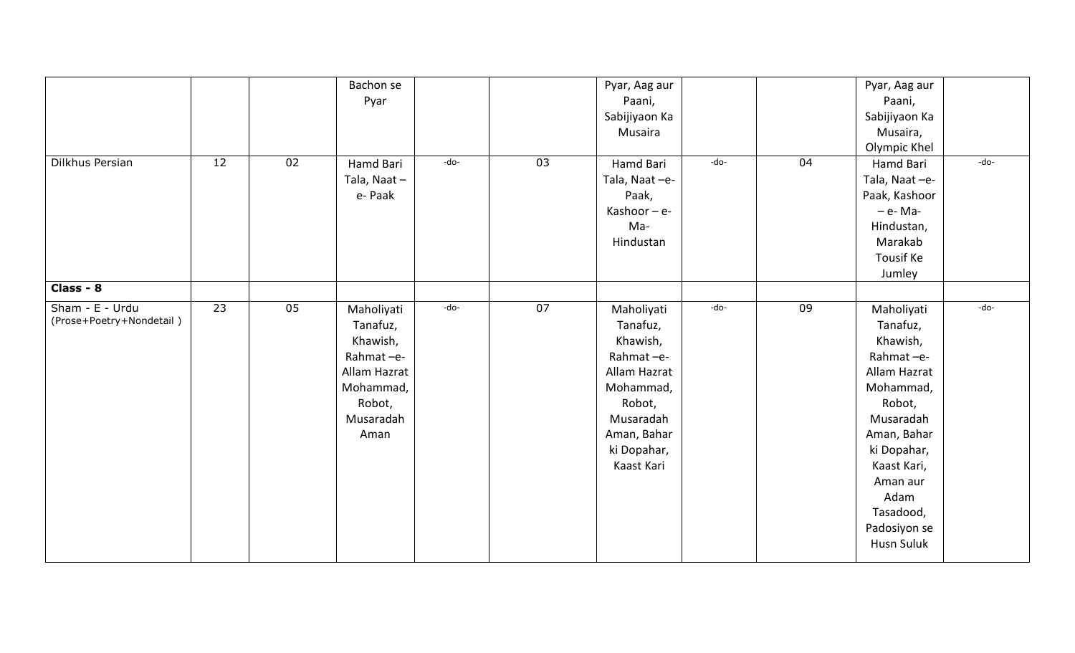|                                             |                 |    | Bachon se<br>Pyar                                                                                           |        |    | Pyar, Aag aur<br>Paani,<br>Sabijiyaon Ka<br>Musaira                                                                                             |        |    | Pyar, Aag aur<br>Paani,<br>Sabijiyaon Ka<br>Musaira,<br>Olympic Khel                                                                                                                                                   |        |
|---------------------------------------------|-----------------|----|-------------------------------------------------------------------------------------------------------------|--------|----|-------------------------------------------------------------------------------------------------------------------------------------------------|--------|----|------------------------------------------------------------------------------------------------------------------------------------------------------------------------------------------------------------------------|--------|
| Dilkhus Persian                             | 12              | 02 | Hamd Bari<br>Tala, Naat-<br>e-Paak                                                                          | -do-   | 03 | Hamd Bari<br>Tala, Naat-e-<br>Paak,<br>Kashoor $-e$ -<br>Ma-<br>Hindustan                                                                       | -do-   | 04 | Hamd Bari<br>Tala, Naat-e-<br>Paak, Kashoor<br>- e- Ma-<br>Hindustan,<br>Marakab<br><b>Tousif Ke</b><br>Jumley                                                                                                         | -do-   |
| Class - $8$                                 |                 |    |                                                                                                             |        |    |                                                                                                                                                 |        |    |                                                                                                                                                                                                                        |        |
| Sham - E - Urdu<br>(Prose+Poetry+Nondetail) | $\overline{23}$ | 05 | Maholiyati<br>Tanafuz,<br>Khawish,<br>Rahmat-e-<br>Allam Hazrat<br>Mohammad,<br>Robot,<br>Musaradah<br>Aman | $-do-$ | 07 | Maholiyati<br>Tanafuz,<br>Khawish,<br>Rahmat-e-<br>Allam Hazrat<br>Mohammad,<br>Robot,<br>Musaradah<br>Aman, Bahar<br>ki Dopahar,<br>Kaast Kari | $-do-$ | 09 | Maholiyati<br>Tanafuz,<br>Khawish,<br>Rahmat-e-<br>Allam Hazrat<br>Mohammad,<br>Robot,<br>Musaradah<br>Aman, Bahar<br>ki Dopahar,<br>Kaast Kari,<br>Aman aur<br>Adam<br>Tasadood,<br>Padosiyon se<br><b>Husn Suluk</b> | $-do-$ |